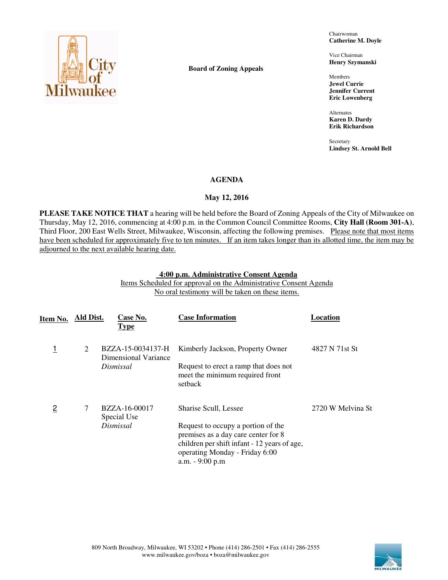

**Board of Zoning Appeals** 

Chairwoman **Catherine M. Doyle** 

Vice Chairman **Henry Szymanski** 

Members **Jewel Currie Jennifer Current Eric Lowenberg** 

Alternates **Karen D. Dardy Erik Richardson** 

**Secretary Lindsey St. Arnold Bell** 

## **AGENDA**

# **May 12, 2016**

**PLEASE TAKE NOTICE THAT** a hearing will be held before the Board of Zoning Appeals of the City of Milwaukee on Thursday, May 12, 2016, commencing at 4:00 p.m. in the Common Council Committee Rooms, **City Hall (Room 301-A)**, Third Floor, 200 East Wells Street, Milwaukee, Wisconsin, affecting the following premises. Please note that most items have been scheduled for approximately five to ten minutes. If an item takes longer than its allotted time, the item may be adjourned to the next available hearing date.

## **4:00 p.m. Administrative Consent Agenda**

Items Scheduled for approval on the Administrative Consent Agenda No oral testimony will be taken on these items.

| Item No.       | Ald Dist. | Case No.<br><b>Type</b>                   | <b>Case Information</b>                                                                                                                                                        | Location          |
|----------------|-----------|-------------------------------------------|--------------------------------------------------------------------------------------------------------------------------------------------------------------------------------|-------------------|
|                | 2         | BZZA-15-0034137-H<br>Dimensional Variance | Kimberly Jackson, Property Owner                                                                                                                                               | 4827 N 71st St    |
|                |           | Dismissal                                 | Request to erect a ramp that does not<br>meet the minimum required front<br>setback                                                                                            |                   |
| $\overline{2}$ | 7         | BZZA-16-00017<br>Special Use              | Sharise Scull, Lessee                                                                                                                                                          | 2720 W Melvina St |
|                |           | Dismissal                                 | Request to occupy a portion of the<br>premises as a day care center for 8<br>children per shift infant - 12 years of age,<br>operating Monday - Friday 6:00<br>a.m. - 9:00 p.m |                   |

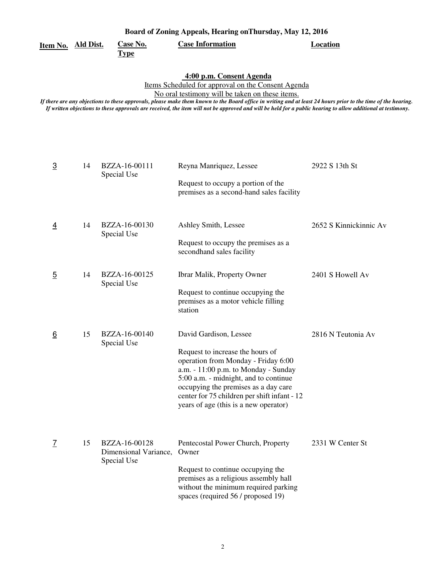|  | Item No. | Ald Dist. | Сź |
|--|----------|-----------|----|
|--|----------|-----------|----|

**Type** 

**Case Information Location** 

## **4:00 p.m. Consent Agenda**

Items Scheduled for approval on the Consent Agenda

No oral testimony will be taken on these items.

*If there are any objections to these approvals, please make them known to the Board office in writing and at least 24 hours prior to the time of the hearing. If written objections to these approvals are received, the item will not be approved and will be held for a public hearing to allow additional at testimony.* 

| $\overline{3}$ | 14 | BZZA-16-00111<br>Special Use                          | Reyna Manriquez, Lessee                                                                                                                                                                                                                                                                   | 2922 S 13th St         |
|----------------|----|-------------------------------------------------------|-------------------------------------------------------------------------------------------------------------------------------------------------------------------------------------------------------------------------------------------------------------------------------------------|------------------------|
|                |    |                                                       | Request to occupy a portion of the<br>premises as a second-hand sales facility                                                                                                                                                                                                            |                        |
| $\overline{4}$ | 14 | BZZA-16-00130                                         | Ashley Smith, Lessee                                                                                                                                                                                                                                                                      | 2652 S Kinnickinnic Av |
|                |    | Special Use                                           | Request to occupy the premises as a<br>secondhand sales facility                                                                                                                                                                                                                          |                        |
| $\overline{5}$ | 14 | BZZA-16-00125<br>Special Use                          | Ibrar Malik, Property Owner                                                                                                                                                                                                                                                               | 2401 S Howell Av       |
|                |    |                                                       | Request to continue occupying the<br>premises as a motor vehicle filling<br>station                                                                                                                                                                                                       |                        |
| 6              | 15 | BZZA-16-00140<br>Special Use                          | David Gardison, Lessee                                                                                                                                                                                                                                                                    | 2816 N Teutonia Av     |
|                |    |                                                       | Request to increase the hours of<br>operation from Monday - Friday 6:00<br>a.m. - 11:00 p.m. to Monday - Sunday<br>5:00 a.m. - midnight, and to continue<br>occupying the premises as a day care<br>center for 75 children per shift infant - 12<br>years of age (this is a new operator) |                        |
| $\overline{1}$ | 15 | BZZA-16-00128<br>Dimensional Variance,<br>Special Use | Pentecostal Power Church, Property<br>Owner                                                                                                                                                                                                                                               | 2331 W Center St       |
|                |    |                                                       | Request to continue occupying the<br>premises as a religious assembly hall<br>without the minimum required parking<br>spaces (required 56 / proposed 19)                                                                                                                                  |                        |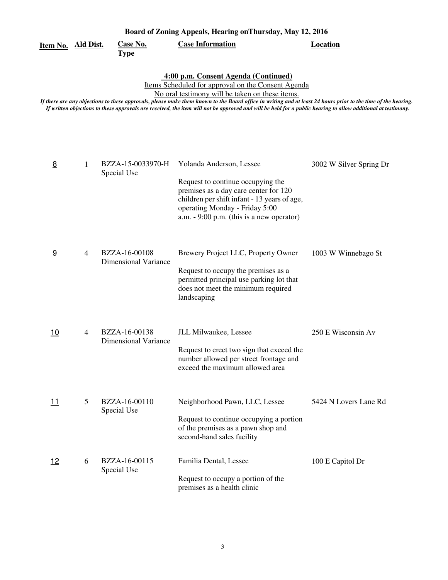| Board of Zoning Appeals, Hearing on Thursday, May 12, 2016 |   |                                              |                                                                                                                                                                                                                                                                                                                                                                                                                                                                                |                         |  |
|------------------------------------------------------------|---|----------------------------------------------|--------------------------------------------------------------------------------------------------------------------------------------------------------------------------------------------------------------------------------------------------------------------------------------------------------------------------------------------------------------------------------------------------------------------------------------------------------------------------------|-------------------------|--|
| Item No. Ald Dist.                                         |   | <b>Case No.</b><br><u>Type</u>               | <b>Case Information</b>                                                                                                                                                                                                                                                                                                                                                                                                                                                        | <b>Location</b>         |  |
|                                                            |   |                                              | 4:00 p.m. Consent Agenda (Continued)<br>Items Scheduled for approval on the Consent Agenda<br>No oral testimony will be taken on these items.<br>If there are any objections to these approvals, please make them known to the Board office in writing and at least 24 hours prior to the time of the hearing.<br>If written objections to these approvals are received, the item will not be approved and will be held for a public hearing to allow additional at testimony. |                         |  |
| 8                                                          | 1 | BZZA-15-0033970-H<br>Special Use             | Yolanda Anderson, Lessee<br>Request to continue occupying the<br>premises as a day care center for 120<br>children per shift infant - 13 years of age,<br>operating Monday - Friday 5:00<br>a.m. $-9:00$ p.m. (this is a new operator)                                                                                                                                                                                                                                         | 3002 W Silver Spring Dr |  |
| 9                                                          | 4 | BZZA-16-00108<br><b>Dimensional Variance</b> | Brewery Project LLC, Property Owner<br>Request to occupy the premises as a<br>permitted principal use parking lot that<br>does not meet the minimum required<br>landscaping                                                                                                                                                                                                                                                                                                    | 1003 W Winnebago St     |  |
| 10                                                         | 4 | BZZA-16-00138<br><b>Dimensional Variance</b> | JLL Milwaukee, Lessee<br>Request to erect two sign that exceed the<br>number allowed per street frontage and<br>exceed the maximum allowed area                                                                                                                                                                                                                                                                                                                                | 250 E Wisconsin Av      |  |
| 11                                                         | 5 | BZZA-16-00110<br>Special Use                 | Neighborhood Pawn, LLC, Lessee<br>Request to continue occupying a portion<br>of the premises as a pawn shop and<br>second-hand sales facility                                                                                                                                                                                                                                                                                                                                  | 5424 N Lovers Lane Rd   |  |
| <u>12</u>                                                  | 6 | BZZA-16-00115<br>Special Use                 | Familia Dental, Lessee<br>Request to occupy a portion of the<br>premises as a health clinic                                                                                                                                                                                                                                                                                                                                                                                    | 100 E Capitol Dr        |  |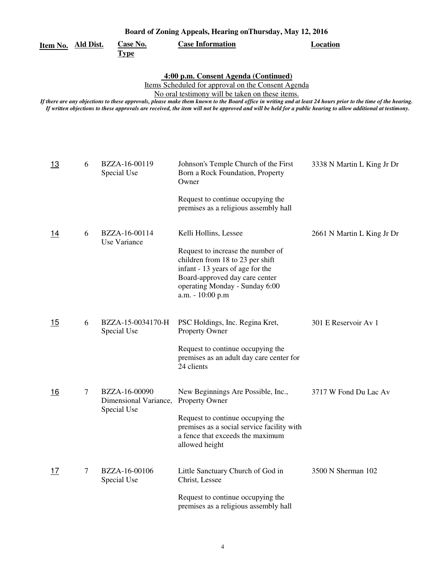| Item No. Ald Dist. |        | <u>Case No.</u>                                       | <b>Case Information</b>                                                                                                                                                                                                                                                                                                                                                                                                                                                        | <b>Location</b>            |
|--------------------|--------|-------------------------------------------------------|--------------------------------------------------------------------------------------------------------------------------------------------------------------------------------------------------------------------------------------------------------------------------------------------------------------------------------------------------------------------------------------------------------------------------------------------------------------------------------|----------------------------|
|                    |        | <u>Type</u>                                           |                                                                                                                                                                                                                                                                                                                                                                                                                                                                                |                            |
|                    |        |                                                       | 4:00 p.m. Consent Agenda (Continued)<br>Items Scheduled for approval on the Consent Agenda<br>No oral testimony will be taken on these items.<br>If there are any objections to these approvals, please make them known to the Board office in writing and at least 24 hours prior to the time of the hearing.<br>If written objections to these approvals are received, the item will not be approved and will be held for a public hearing to allow additional at testimony. |                            |
| <u>13</u>          | 6      | BZZA-16-00119<br>Special Use                          | Johnson's Temple Church of the First<br>Born a Rock Foundation, Property<br>Owner                                                                                                                                                                                                                                                                                                                                                                                              | 3338 N Martin L King Jr Dr |
|                    |        |                                                       | Request to continue occupying the<br>premises as a religious assembly hall                                                                                                                                                                                                                                                                                                                                                                                                     |                            |
| 14                 | 6      | BZZA-16-00114<br>Use Variance                         | Kelli Hollins, Lessee<br>Request to increase the number of<br>children from 18 to 23 per shift<br>infant - 13 years of age for the<br>Board-approved day care center<br>operating Monday - Sunday 6:00<br>a.m. - 10:00 p.m                                                                                                                                                                                                                                                     | 2661 N Martin L King Jr Dr |
| <u> 15</u>         | 6      | BZZA-15-0034170-H<br>Special Use                      | PSC Holdings, Inc. Regina Kret,<br>Property Owner<br>Request to continue occupying the<br>premises as an adult day care center for<br>24 clients                                                                                                                                                                                                                                                                                                                               | 301 E Reservoir Av 1       |
| 16                 | $\tau$ | BZZA-16-00090<br>Dimensional Variance,<br>Special Use | New Beginnings Are Possible, Inc.,<br>Property Owner<br>Request to continue occupying the<br>premises as a social service facility with<br>a fence that exceeds the maximum<br>allowed height                                                                                                                                                                                                                                                                                  | 3717 W Fond Du Lac Av      |
| 17                 | 7      | BZZA-16-00106<br>Special Use                          | Little Sanctuary Church of God in<br>Christ, Lessee<br>Request to continue occupying the<br>premises as a religious assembly hall                                                                                                                                                                                                                                                                                                                                              | 3500 N Sherman 102         |

**Board of Zoning Appeals, Hearing onThursday, May 12, 2016**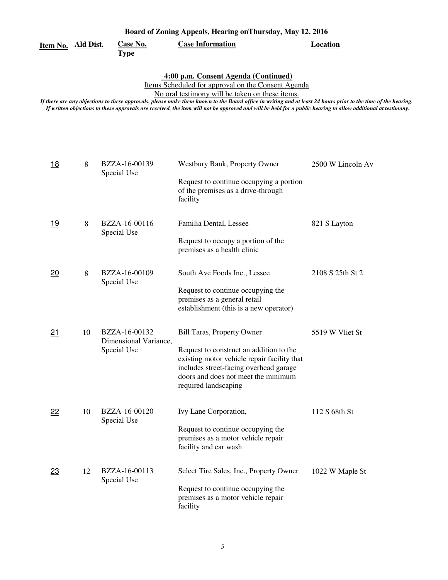**Item No. Ald Dist.**

**Type** 

**Case No. Case Information Location** 

 **4:00 p.m. Consent Agenda (Continued)** 

Items Scheduled for approval on the Consent Agenda

No oral testimony will be taken on these items.

*If there are any objections to these approvals, please make them known to the Board office in writing and at least 24 hours prior to the time of the hearing. If written objections to these approvals are received, the item will not be approved and will be held for a public hearing to allow additional at testimony.* 

| 18        | 8  | BZZA-16-00139<br>Special Use           | Westbury Bank, Property Owner                                                                                                                                                                   | 2500 W Lincoln Av |
|-----------|----|----------------------------------------|-------------------------------------------------------------------------------------------------------------------------------------------------------------------------------------------------|-------------------|
|           |    |                                        | Request to continue occupying a portion<br>of the premises as a drive-through<br>facility                                                                                                       |                   |
| <u>19</u> | 8  | BZZA-16-00116                          | Familia Dental, Lessee                                                                                                                                                                          | 821 S Layton      |
|           |    | Special Use                            | Request to occupy a portion of the<br>premises as a health clinic                                                                                                                               |                   |
| 20        | 8  | BZZA-16-00109<br>Special Use           | South Ave Foods Inc., Lessee                                                                                                                                                                    | 2108 S 25th St 2  |
|           |    |                                        | Request to continue occupying the<br>premises as a general retail<br>establishment (this is a new operator)                                                                                     |                   |
| 21        | 10 | BZZA-16-00132<br>Dimensional Variance, | <b>Bill Taras, Property Owner</b>                                                                                                                                                               | 5519 W Vliet St   |
|           |    | Special Use                            | Request to construct an addition to the<br>existing motor vehicle repair facility that<br>includes street-facing overhead garage<br>doors and does not meet the minimum<br>required landscaping |                   |
| 22        | 10 | BZZA-16-00120<br>Special Use           | Ivy Lane Corporation,                                                                                                                                                                           | 112 S 68th St     |
|           |    |                                        | Request to continue occupying the<br>premises as a motor vehicle repair<br>facility and car wash                                                                                                |                   |
| 23        | 12 | BZZA-16-00113<br>Special Use           | Select Tire Sales, Inc., Property Owner                                                                                                                                                         | 1022 W Maple St   |
|           |    |                                        | Request to continue occupying the<br>premises as a motor vehicle repair<br>facility                                                                                                             |                   |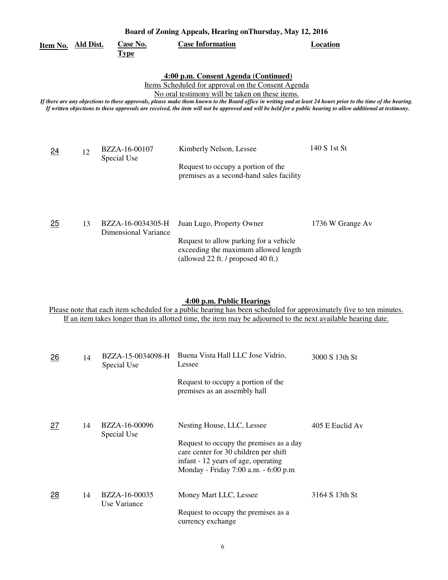| Board of Zoning Appeals, Hearing on Thursday, May 12, 2016 |                  |                                           |                                                                                                                                                                                                                                                                                                                                                                                                                                                                                |                  |  |
|------------------------------------------------------------|------------------|-------------------------------------------|--------------------------------------------------------------------------------------------------------------------------------------------------------------------------------------------------------------------------------------------------------------------------------------------------------------------------------------------------------------------------------------------------------------------------------------------------------------------------------|------------------|--|
| Item No.                                                   | <b>Ald Dist.</b> | <b>Case No.</b><br><b>Type</b>            | <b>Case Information</b>                                                                                                                                                                                                                                                                                                                                                                                                                                                        | <b>Location</b>  |  |
|                                                            |                  |                                           | 4:00 p.m. Consent Agenda (Continued)<br>Items Scheduled for approval on the Consent Agenda<br>No oral testimony will be taken on these items.<br>If there are any objections to these approvals, please make them known to the Board office in writing and at least 24 hours prior to the time of the hearing.<br>If written objections to these approvals are received, the item will not be approved and will be held for a public hearing to allow additional at testimony. |                  |  |
| <u>24</u>                                                  | 12               | BZZA-16-00107<br>Special Use              | Kimberly Nelson, Lessee<br>Request to occupy a portion of the<br>premises as a second-hand sales facility                                                                                                                                                                                                                                                                                                                                                                      | 140 S 1st St     |  |
| 25                                                         | 13               | BZZA-16-0034305-H<br>Dimensional Variance | Juan Lugo, Property Owner<br>Request to allow parking for a vehicle<br>exceeding the maximum allowed length<br>(allowed 22 ft. / proposed 40 ft.)                                                                                                                                                                                                                                                                                                                              | 1736 W Grange Av |  |

## **4:00 p.m. Public Hearings**

Please note that each item scheduled for a public hearing has been scheduled for approximately five to ten minutes. If an item takes longer than its allotted time, the item may be adjourned to the next available hearing date.

| 26 | 14 | BZZA-15-0034098-H<br>Special Use | Buena Vista Hall LLC Jose Vidrio,<br>Lessee                                                                                                                     | 3000 S 13th St  |
|----|----|----------------------------------|-----------------------------------------------------------------------------------------------------------------------------------------------------------------|-----------------|
|    |    |                                  | Request to occupy a portion of the<br>premises as an assembly hall                                                                                              |                 |
| 27 | 14 | BZZA-16-00096<br>Special Use     | Nesting House, LLC, Lessee                                                                                                                                      | 405 E Euclid Av |
|    |    |                                  | Request to occupy the premises as a day<br>care center for 30 children per shift<br>infant - 12 years of age, operating<br>Monday - Friday 7:00 a.m. - 6:00 p.m |                 |
| 28 | 14 | BZZA-16-00035<br>Use Variance    | Money Mart LLC, Lessee                                                                                                                                          | 3164 S 13th St  |
|    |    |                                  | Request to occupy the premises as a<br>currency exchange                                                                                                        |                 |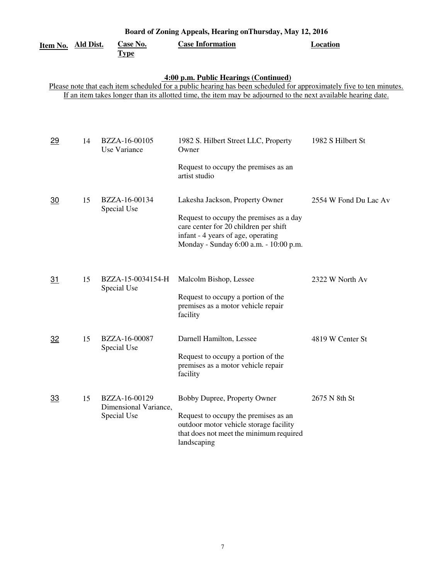| Board of Zoning Appeals, Hearing on Thursday, May 12, 2016 |           |                                                       |                                                                                                                                                                                                                                                                               |                       |  |
|------------------------------------------------------------|-----------|-------------------------------------------------------|-------------------------------------------------------------------------------------------------------------------------------------------------------------------------------------------------------------------------------------------------------------------------------|-----------------------|--|
| Item No.                                                   | Ald Dist. | Case No.<br><b>Type</b>                               | <b>Case Information</b>                                                                                                                                                                                                                                                       | <b>Location</b>       |  |
|                                                            |           |                                                       | 4:00 p.m. Public Hearings (Continued)<br>Please note that each item scheduled for a public hearing has been scheduled for approximately five to ten minutes.<br>If an item takes longer than its allotted time, the item may be adjourned to the next available hearing date. |                       |  |
| 29                                                         | 14        | BZZA-16-00105<br>Use Variance                         | 1982 S. Hilbert Street LLC, Property<br>Owner<br>Request to occupy the premises as an<br>artist studio                                                                                                                                                                        | 1982 S Hilbert St     |  |
| 30                                                         | 15        | BZZA-16-00134<br>Special Use                          | Lakesha Jackson, Property Owner<br>Request to occupy the premises as a day<br>care center for 20 children per shift<br>infant - 4 years of age, operating<br>Monday - Sunday 6:00 a.m. - 10:00 p.m.                                                                           | 2554 W Fond Du Lac Av |  |
| 31                                                         | 15        | BZZA-15-0034154-H<br>Special Use                      | Malcolm Bishop, Lessee<br>Request to occupy a portion of the<br>premises as a motor vehicle repair<br>facility                                                                                                                                                                | 2322 W North Av       |  |
| <u>32</u>                                                  | 15        | BZZA-16-00087<br>Special Use                          | Darnell Hamilton, Lessee<br>Request to occupy a portion of the<br>premises as a motor vehicle repair<br>facility                                                                                                                                                              | 4819 W Center St      |  |
| <u>33</u>                                                  | 15        | BZZA-16-00129<br>Dimensional Variance,<br>Special Use | Bobby Dupree, Property Owner<br>Request to occupy the premises as an<br>outdoor motor vehicle storage facility<br>that does not meet the minimum required<br>landscaping                                                                                                      | 2675 N 8th St         |  |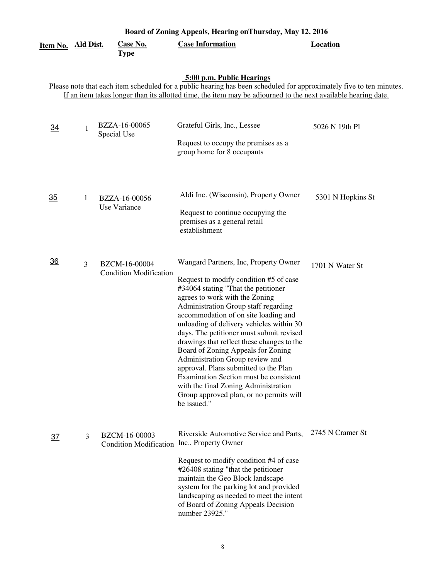| Board of Zoning Appeals, Hearing on Thursday, May 12, 2016 |                |                                                |                                                                                                                                                                                                                                                                                                                                                                                                                                                                                                                                                                                                                                              |                   |  |  |
|------------------------------------------------------------|----------------|------------------------------------------------|----------------------------------------------------------------------------------------------------------------------------------------------------------------------------------------------------------------------------------------------------------------------------------------------------------------------------------------------------------------------------------------------------------------------------------------------------------------------------------------------------------------------------------------------------------------------------------------------------------------------------------------------|-------------------|--|--|
| <u>Item No. Ald Dist.</u>                                  |                | <b>Case No.</b><br><b>Type</b>                 | <b>Case Information</b>                                                                                                                                                                                                                                                                                                                                                                                                                                                                                                                                                                                                                      | <b>Location</b>   |  |  |
|                                                            |                |                                                | 5:00 p.m. Public Hearings<br>Please note that each item scheduled for a public hearing has been scheduled for approximately five to ten minutes.<br>If an item takes longer than its allotted time, the item may be adjourned to the next available hearing date.                                                                                                                                                                                                                                                                                                                                                                            |                   |  |  |
| $\overline{34}$                                            | 1              | BZZA-16-00065<br>Special Use                   | Grateful Girls, Inc., Lessee<br>Request to occupy the premises as a<br>group home for 8 occupants                                                                                                                                                                                                                                                                                                                                                                                                                                                                                                                                            | 5026 N 19th Pl    |  |  |
| $\overline{35}$                                            | 1              | BZZA-16-00056<br>Use Variance                  | Aldi Inc. (Wisconsin), Property Owner<br>Request to continue occupying the<br>premises as a general retail<br>establishment                                                                                                                                                                                                                                                                                                                                                                                                                                                                                                                  | 5301 N Hopkins St |  |  |
| <u>36</u>                                                  | $\overline{3}$ | BZCM-16-00004<br><b>Condition Modification</b> | Wangard Partners, Inc, Property Owner<br>Request to modify condition #5 of case<br>#34064 stating "That the petitioner<br>agrees to work with the Zoning<br>Administration Group staff regarding<br>accommodation of on site loading and<br>unloading of delivery vehicles within 30<br>days. The petitioner must submit revised<br>drawings that reflect these changes to the<br>Board of Zoning Appeals for Zoning<br>Administration Group review and<br>approval. Plans submitted to the Plan<br>Examination Section must be consistent<br>with the final Zoning Administration<br>Group approved plan, or no permits will<br>be issued." | 1701 N Water St   |  |  |
| <u>37</u>                                                  | 3              | BZCM-16-00003<br><b>Condition Modification</b> | Riverside Automotive Service and Parts,<br>Inc., Property Owner<br>Request to modify condition #4 of case<br>#26408 stating "that the petitioner<br>maintain the Geo Block landscape<br>system for the parking lot and provided<br>landscaping as needed to meet the intent<br>of Board of Zoning Appeals Decision<br>number 23925."                                                                                                                                                                                                                                                                                                         | 2745 N Cramer St  |  |  |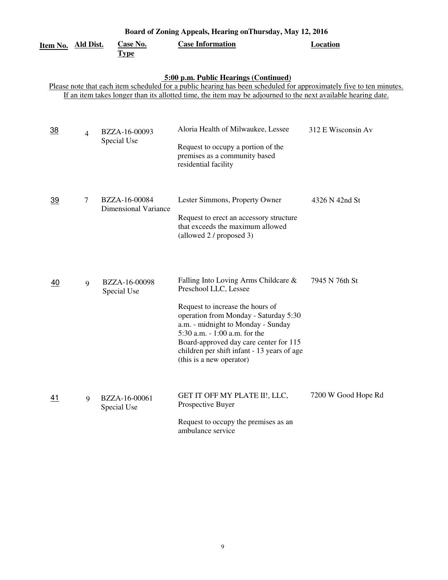| Board of Zoning Appeals, Hearing on Thursday, May 12, 2016                                                                                                                                                                                                                    |                |                                              |                                                                                                                                                                                                                                                                                                                                        |                     |  |  |  |  |
|-------------------------------------------------------------------------------------------------------------------------------------------------------------------------------------------------------------------------------------------------------------------------------|----------------|----------------------------------------------|----------------------------------------------------------------------------------------------------------------------------------------------------------------------------------------------------------------------------------------------------------------------------------------------------------------------------------------|---------------------|--|--|--|--|
| Item No. Ald Dist.                                                                                                                                                                                                                                                            |                | Case No.<br><b>Type</b>                      | <b>Case Information</b>                                                                                                                                                                                                                                                                                                                | <b>Location</b>     |  |  |  |  |
| 5:00 p.m. Public Hearings (Continued)<br>Please note that each item scheduled for a public hearing has been scheduled for approximately five to ten minutes.<br>If an item takes longer than its allotted time, the item may be adjourned to the next available hearing date. |                |                                              |                                                                                                                                                                                                                                                                                                                                        |                     |  |  |  |  |
| 38                                                                                                                                                                                                                                                                            | $\overline{4}$ | BZZA-16-00093<br>Special Use                 | Aloria Health of Milwaukee, Lessee<br>Request to occupy a portion of the<br>premises as a community based<br>residential facility                                                                                                                                                                                                      | 312 E Wisconsin Av  |  |  |  |  |
| 39                                                                                                                                                                                                                                                                            | $\tau$         | BZZA-16-00084<br><b>Dimensional Variance</b> | Lester Simmons, Property Owner<br>Request to erect an accessory structure<br>that exceeds the maximum allowed<br>(allowed 2 / proposed 3)                                                                                                                                                                                              | 4326 N 42nd St      |  |  |  |  |
| 40                                                                                                                                                                                                                                                                            | 9              | BZZA-16-00098<br>Special Use                 | Falling Into Loving Arms Childcare &<br>Preschool LLC, Lessee<br>Request to increase the hours of<br>operation from Monday - Saturday 5:30<br>a.m. - midnight to Monday - Sunday<br>5:30 a.m. - 1:00 a.m. for the<br>Board-approved day care center for 115<br>children per shift infant - 13 years of age<br>(this is a new operator) | 7945 N 76th St      |  |  |  |  |
| <u>41</u>                                                                                                                                                                                                                                                                     | 9              | BZZA-16-00061<br>Special Use                 | GET IT OFF MY PLATE II!, LLC,<br>Prospective Buyer<br>Request to occupy the premises as an<br>ambulance service                                                                                                                                                                                                                        | 7200 W Good Hope Rd |  |  |  |  |